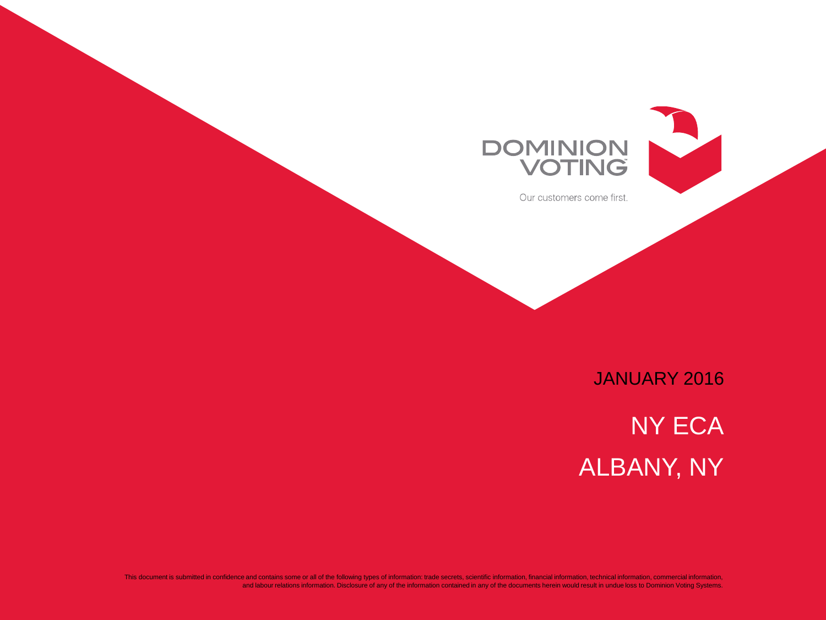



Our customers come first.

JANUARY 2016

NY ECA ALBANY, NY

This document is submitted in confidence and contains some or all of the following types of information: trade secrets, scientific information, financial information, technical information, commercial information, and labour relations information. Disclosure of any of the information contained in any of the documents herein would result in undue loss to Dominion Voting Systems.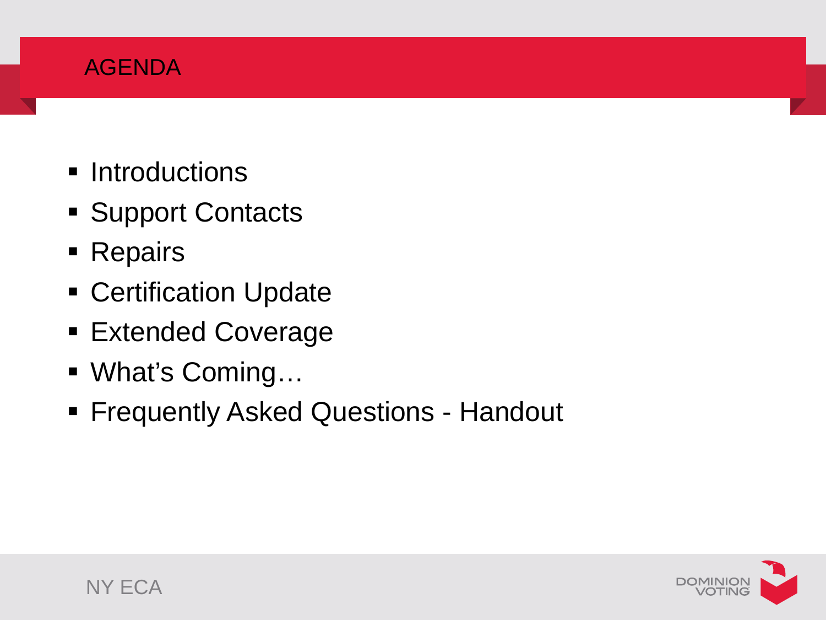### AGENDA

- **Introductions**
- **Support Contacts**
- **Repairs**
- **Certification Update**
- **Extended Coverage**
- What's Coming...
- **Fiequently Asked Questions Handout**

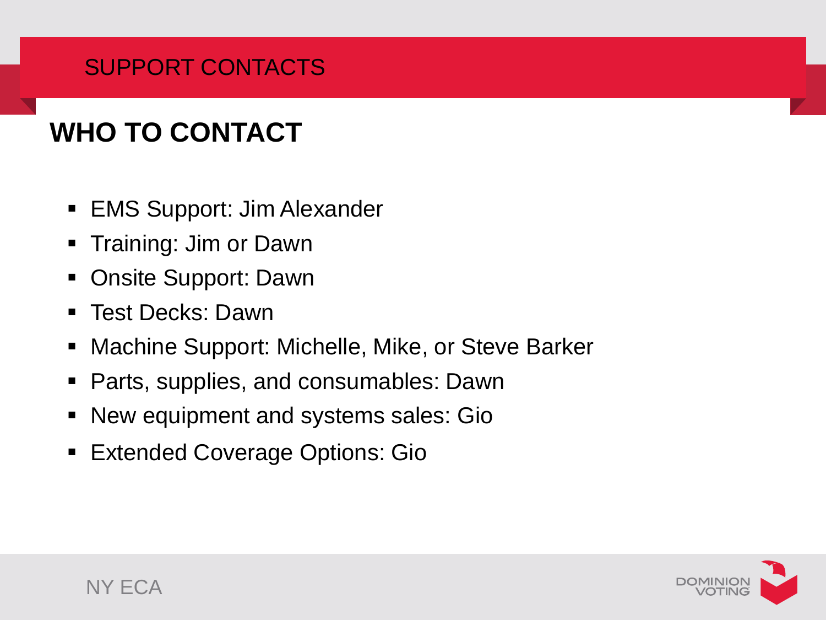# SUPPORT CONTACTS

# **WHO TO CONTACT**

- **EMS Support: Jim Alexander**
- **Training: Jim or Dawn**
- Onsite Support: Dawn
- Test Decks: Dawn
- **Machine Support: Michelle, Mike, or Steve Barker**
- **Parts, supplies, and consumables: Dawn**
- New equipment and systems sales: Gio
- **Extended Coverage Options: Gio**

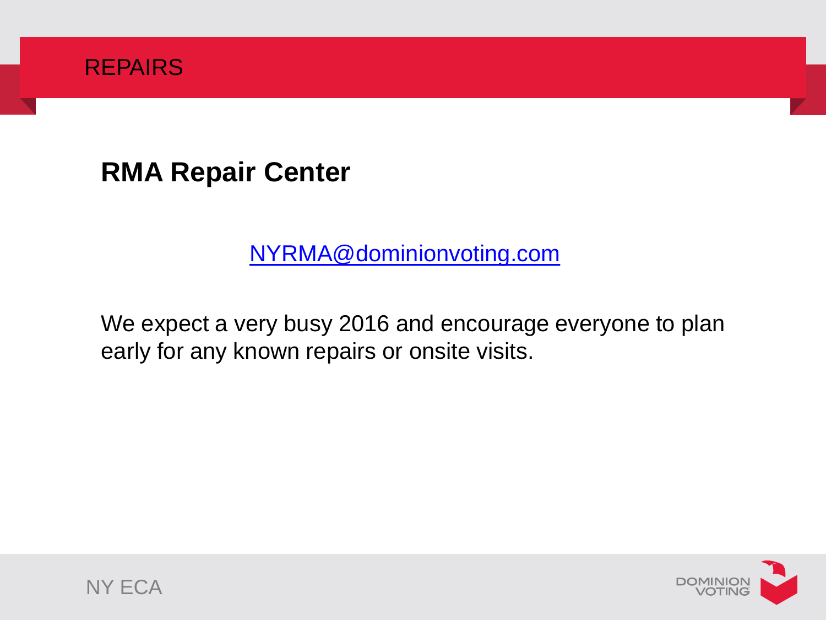

**RMA Repair Center**

[NYRMA@dominionvoting.com](mailto:NYRMA@dominionvoting.com)

We expect a very busy 2016 and encourage everyone to plan early for any known repairs or onsite visits.



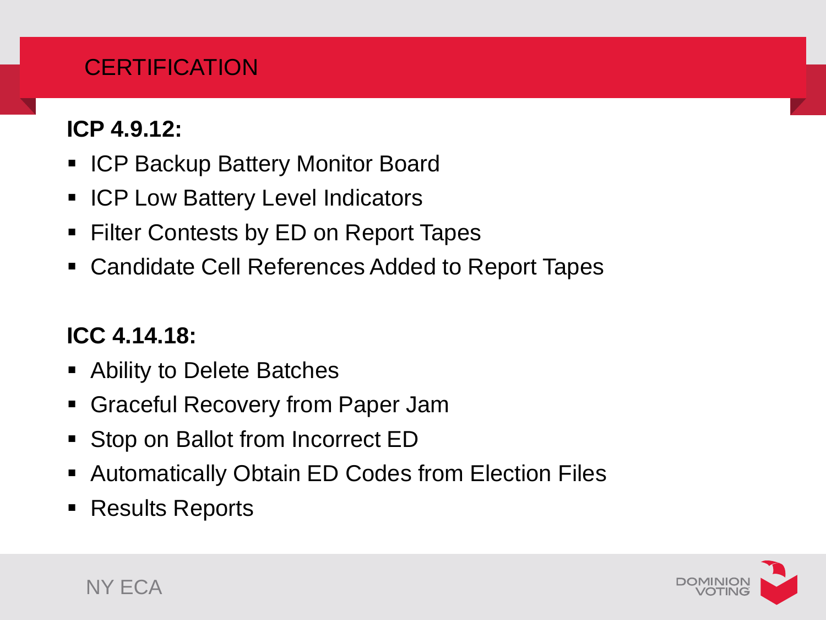# **CERTIFICATION**

# **ICP 4.9.12:**

- **ICP Backup Battery Monitor Board**
- **ICP Low Battery Level Indicators**
- Filter Contests by ED on Report Tapes
- Candidate Cell References Added to Report Tapes

# **ICC 4.14.18:**

- Ability to Delete Batches
- **Graceful Recovery from Paper Jam**
- Stop on Ballot from Incorrect ED
- Automatically Obtain ED Codes from Election Files
- Results Reports

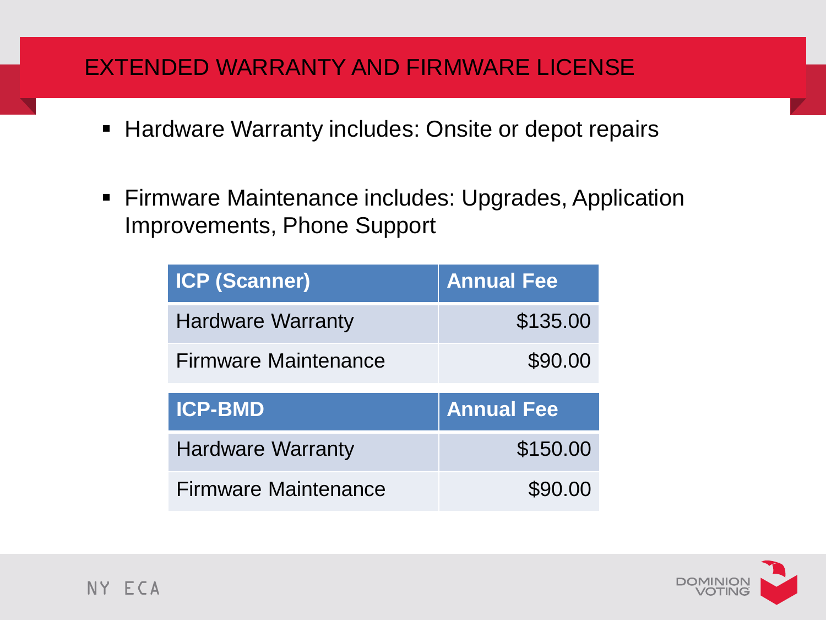#### EXTENDED WARRANTY AND FIRMWARE LICENSE

- **Hardware Warranty includes: Onsite or depot repairs**
- **Firmware Maintenance includes: Upgrades, Application** Improvements, Phone Support

| <b>ICP (Scanner)</b>        | <b>Annual Fee</b> |
|-----------------------------|-------------------|
| <b>Hardware Warranty</b>    | \$135.00          |
| <b>Firmware Maintenance</b> | \$90.00           |
|                             |                   |
| <b>ICP-BMD</b>              | <b>Annual Fee</b> |
| <b>Hardware Warranty</b>    | \$150.00          |

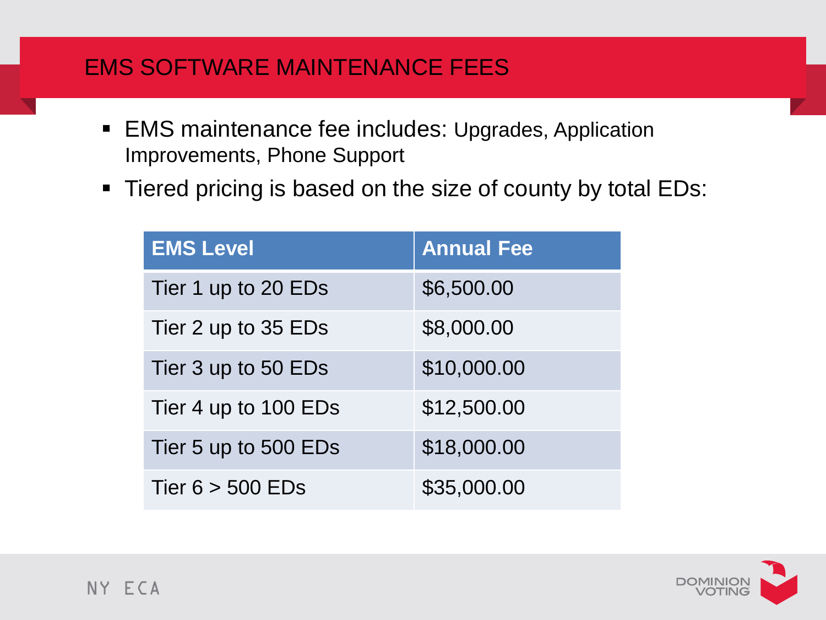#### EMS SOFTWARE MAINTENANCE FEES

- **EMS maintenance fee includes: Upgrades, Application** Improvements, Phone Support
- Tiered pricing is based on the size of county by total EDs:

| <b>EMS Level</b>     | <b>Annual Fee</b> |
|----------------------|-------------------|
| Tier 1 up to 20 EDs  | \$6,500.00        |
| Tier 2 up to 35 EDs  | \$8,000.00        |
| Tier 3 up to 50 EDs  | \$10,000.00       |
| Tier 4 up to 100 EDs | \$12,500.00       |
| Tier 5 up to 500 EDs | \$18,000.00       |
| Tier $6 > 500$ EDs   | \$35,000.00       |

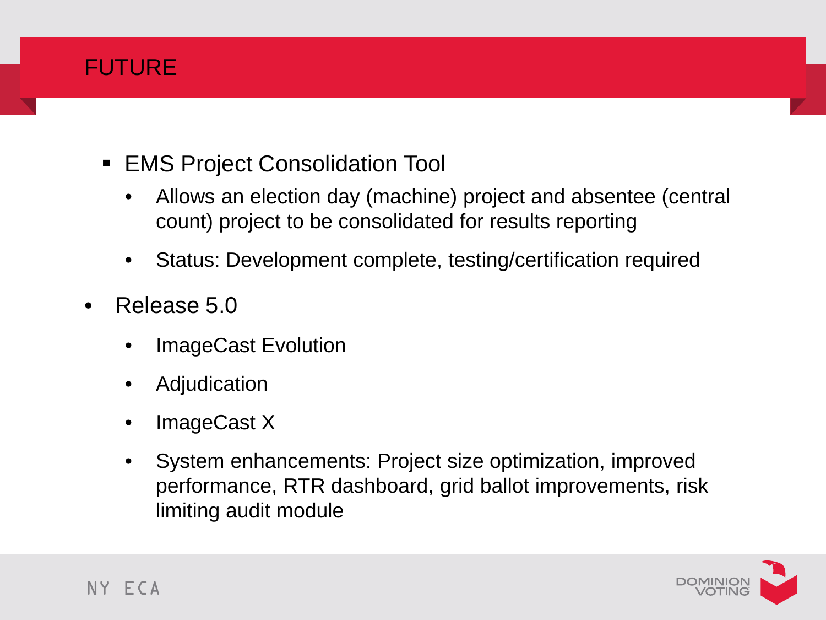

- **EMS Project Consolidation Tool** 
	- Allows an election day (machine) project and absentee (central count) project to be consolidated for results reporting
	- Status: Development complete, testing/certification required
- Release 5.0
	- ImageCast Evolution
	- **Adjudication**
	- ImageCast X
	- System enhancements: Project size optimization, improved performance, RTR dashboard, grid ballot improvements, risk limiting audit module